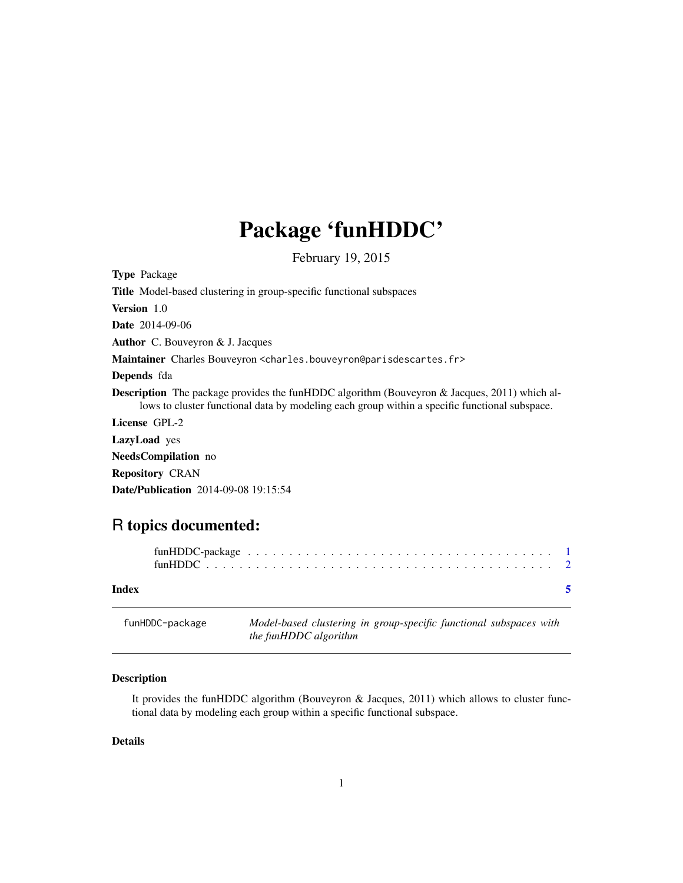## <span id="page-0-0"></span>Package 'funHDDC'

February 19, 2015

| <b>Type Package</b>                                                                                                                                                                                  |
|------------------------------------------------------------------------------------------------------------------------------------------------------------------------------------------------------|
| <b>Title</b> Model-based clustering in group-specific functional subspaces                                                                                                                           |
| <b>Version</b> 1.0                                                                                                                                                                                   |
| <b>Date</b> 2014-09-06                                                                                                                                                                               |
| <b>Author</b> C. Bouveyron $\&$ J. Jacques                                                                                                                                                           |
| Maintainer Charles Bouveyron <charles.bouveyron@parisdescartes.fr></charles.bouveyron@parisdescartes.fr>                                                                                             |
| Depends fda                                                                                                                                                                                          |
| <b>Description</b> The package provides the funHDDC algorithm (Bouveyron & Jacques, 2011) which al-<br>lows to cluster functional data by modeling each group within a specific functional subspace. |
| License GPL-2                                                                                                                                                                                        |
| <b>LazyLoad</b> yes                                                                                                                                                                                  |
| <b>NeedsCompilation</b> no                                                                                                                                                                           |
| <b>Repository CRAN</b>                                                                                                                                                                               |
| <b>Date/Publication</b> 2014-09-08 19:15:54                                                                                                                                                          |
|                                                                                                                                                                                                      |

### R topics documented:

| Index |  |
|-------|--|

| funHDDC-package | Model-based clustering in group-specific functional subspaces with |
|-----------------|--------------------------------------------------------------------|
|                 | the funHDDC algorithm                                              |
|                 |                                                                    |

#### Description

It provides the funHDDC algorithm (Bouveyron & Jacques, 2011) which allows to cluster functional data by modeling each group within a specific functional subspace.

#### Details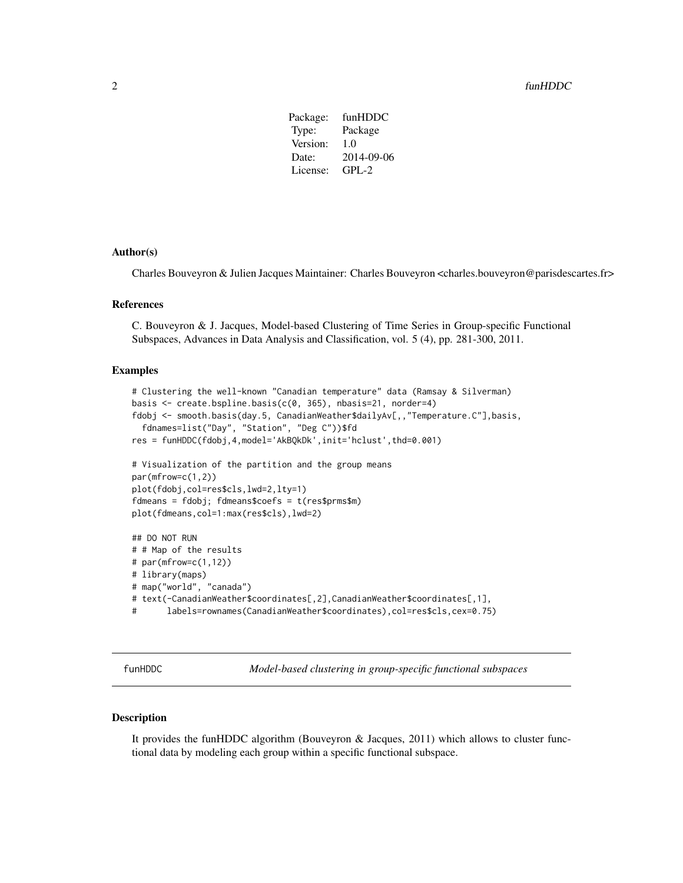#### <span id="page-1-0"></span>2 funHDDC

Package: funHDDC Type: Package Version: 1.0 Date: 2014-09-06 License: GPL-2

#### Author(s)

Charles Bouveyron & Julien Jacques Maintainer: Charles Bouveyron <charles.bouveyron@parisdescartes.fr>

#### References

C. Bouveyron & J. Jacques, Model-based Clustering of Time Series in Group-specific Functional Subspaces, Advances in Data Analysis and Classification, vol. 5 (4), pp. 281-300, 2011.

#### Examples

```
# Clustering the well-known "Canadian temperature" data (Ramsay & Silverman)
basis <- create.bspline.basis(c(0, 365), nbasis=21, norder=4)
fdobj <- smooth.basis(day.5, CanadianWeather$dailyAv[,,"Temperature.C"],basis,
  fdnames=list("Day", "Station", "Deg C"))$fd
res = funHDDC(fdobj,4,model='AkBQkDk',init='hclust',thd=0.001)
# Visualization of the partition and the group means
par(mfrow=c(1,2))
plot(fdobj,col=res$cls,lwd=2,lty=1)
fdmeans = fdobj; fdmeans$coefs = t(res$prms$m)
plot(fdmeans,col=1:max(res$cls),lwd=2)
## DO NOT RUN
# # Map of the results
# par(mfrow=c(1,12))
# library(maps)
# map("world", "canada")
# text(-CanadianWeather$coordinates[,2],CanadianWeather$coordinates[,1],
# labels=rownames(CanadianWeather$coordinates),col=res$cls,cex=0.75)
```
funHDDC *Model-based clustering in group-specific functional subspaces*

#### Description

It provides the funHDDC algorithm (Bouveyron & Jacques, 2011) which allows to cluster functional data by modeling each group within a specific functional subspace.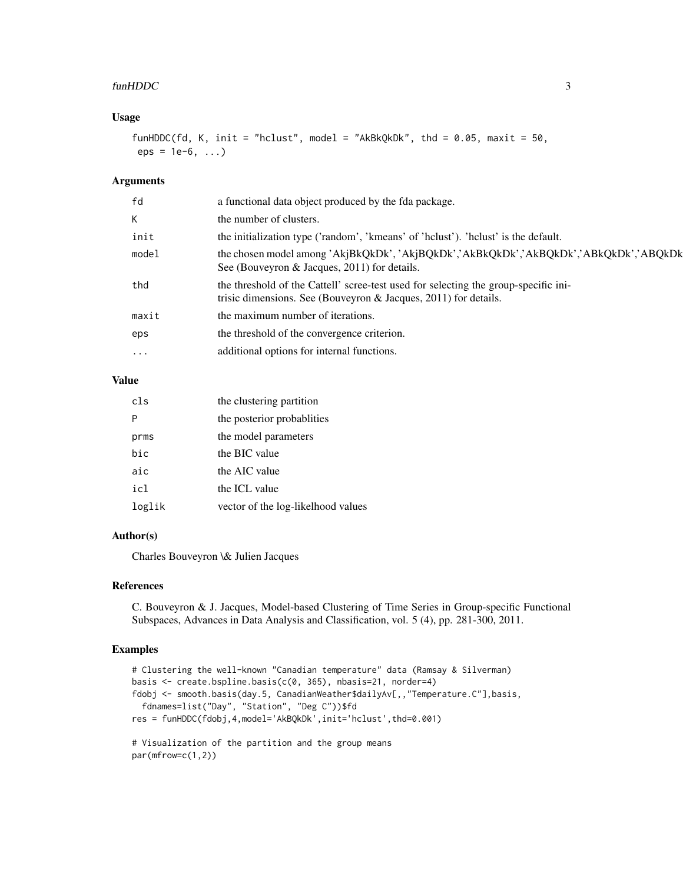#### funHDDC 3

#### Usage

```
funHDDC(fd, K, init = "hclust", model = "AkBkQkDk", thd = 0.05, maxit = 50,
eps = 1e-6, ...
```
#### Arguments

| a functional data object produced by the fda package.                                                                                                     |
|-----------------------------------------------------------------------------------------------------------------------------------------------------------|
| the number of clusters.                                                                                                                                   |
| the initialization type ('random', 'kmeans' of 'holust'). 'holust' is the default.                                                                        |
| the chosen model among 'AkjBkQkDk', 'AkjBQkDk','AkBkQkDk','AkBQkDk','ABkQkDk','ABQkDk<br>See (Bouveyron & Jacques, 2011) for details.                     |
| the threshold of the Cattell' scree-test used for selecting the group-specific ini-<br>trisic dimensions. See (Bouveyron $\&$ Jacques, 2011) for details. |
| the maximum number of iterations.                                                                                                                         |
| the threshold of the convergence criterion.                                                                                                               |
| additional options for internal functions.                                                                                                                |
|                                                                                                                                                           |

#### Value

| cls    | the clustering partition           |
|--------|------------------------------------|
| P      | the posterior probabilities        |
| prms   | the model parameters               |
| bic    | the BIC value                      |
| aic    | the AIC value                      |
| icl    | the ICL value                      |
| loglik | vector of the log-likelhood values |

#### Author(s)

Charles Bouveyron \& Julien Jacques

#### References

C. Bouveyron & J. Jacques, Model-based Clustering of Time Series in Group-specific Functional Subspaces, Advances in Data Analysis and Classification, vol. 5 (4), pp. 281-300, 2011.

#### Examples

```
# Clustering the well-known "Canadian temperature" data (Ramsay & Silverman)
basis <- create.bspline.basis(c(0, 365), nbasis=21, norder=4)
fdobj <- smooth.basis(day.5, CanadianWeather$dailyAv[,,"Temperature.C"],basis,
  fdnames=list("Day", "Station", "Deg C"))$fd
res = funHDDC(fdobj,4,model='AkBQkDk',init='hclust',thd=0.001)
# Visualization of the partition and the group means
```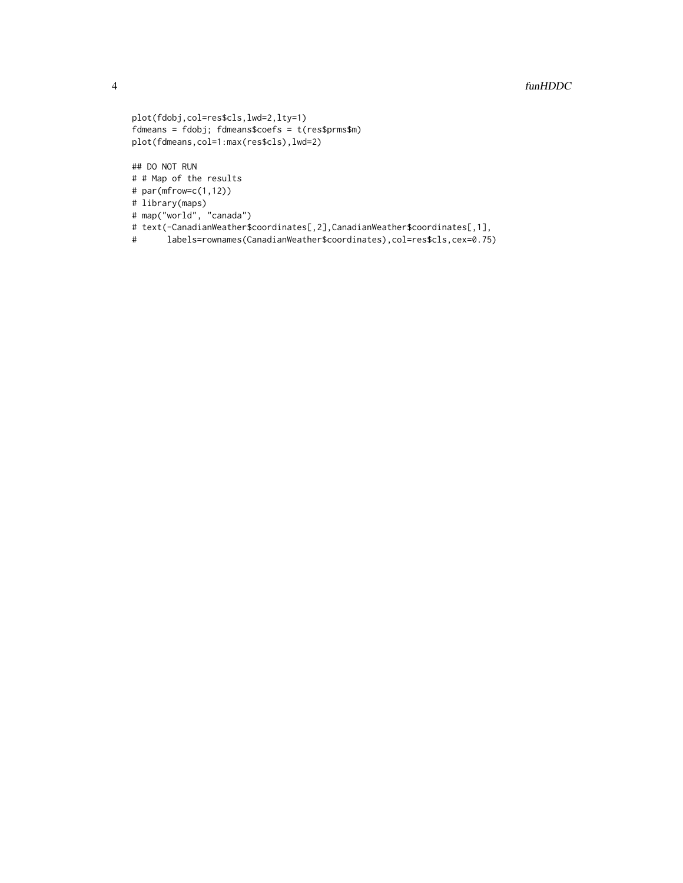```
plot(fdobj,col=res$cls,lwd=2,lty=1)
fdmeans = fdobj; fdmeans$coefs = t(res$prms$m)
plot(fdmeans,col=1:max(res$cls),lwd=2)
```
## DO NOT RUN # # Map of the results

- # par(mfrow=c(1,12))
- # library(maps)
- # map("world", "canada")
- # text(-CanadianWeather\$coordinates[,2],CanadianWeather\$coordinates[,1],
- # labels=rownames(CanadianWeather\$coordinates),col=res\$cls,cex=0.75)